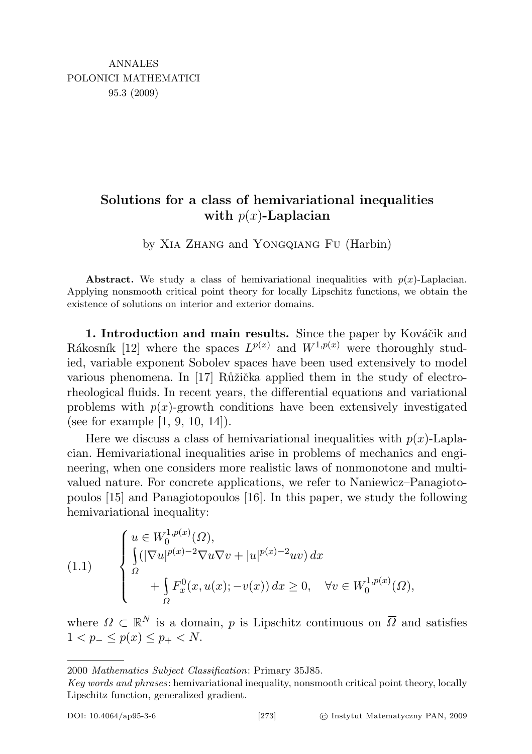## Solutions for a class of hemivariational inequalities with  $p(x)$ -Laplacian

by Xia Zhang and Yongqiang Fu (Harbin)

Abstract. We study a class of hemivariational inequalities with  $p(x)$ -Laplacian. Applying nonsmooth critical point theory for locally Lipschitz functions, we obtain the existence of solutions on interior and exterior domains.

1. Introduction and main results. Since the paper by Kováčik and Rákosník [12] where the spaces  $L^{p(x)}$  and  $W^{1,p(x)}$  were thoroughly studied, variable exponent Sobolev spaces have been used extensively to model various phenomena. In [17]  $\ddot{R}u\ddot{\tilde{z}}$  applied them in the study of electrorheological fluids. In recent years, the differential equations and variational problems with  $p(x)$ -growth conditions have been extensively investigated (see for example [1, 9, 10, 14]).

Here we discuss a class of hemivariational inequalities with  $p(x)$ -Laplacian. Hemivariational inequalities arise in problems of mechanics and engineering, when one considers more realistic laws of nonmonotone and multivalued nature. For concrete applications, we refer to Naniewicz–Panagiotopoulos [15] and Panagiotopoulos [16]. In this paper, we study the following hemivariational inequality:

(1.1) 
$$
\begin{cases} u \in W_0^{1,p(x)}(\Omega), \\ \int_{\Omega} (|\nabla u|^{p(x)-2} \nabla u \nabla v + |u|^{p(x)-2} uv) dx \\ + \int_{\Omega} F_x^0(x, u(x); -v(x)) dx \ge 0, \quad \forall v \in W_0^{1,p(x)}(\Omega), \end{cases}
$$

where  $\Omega \subset \mathbb{R}^N$  is a domain, p is Lipschitz continuous on  $\overline{\Omega}$  and satisfies  $1 < p_{-} \leq p(x) \leq p_{+} < N.$ 

<sup>2000</sup> Mathematics Subject Classification: Primary 35J85.

Key words and phrases: hemivariational inequality, nonsmooth critical point theory, locally Lipschitz function, generalized gradient.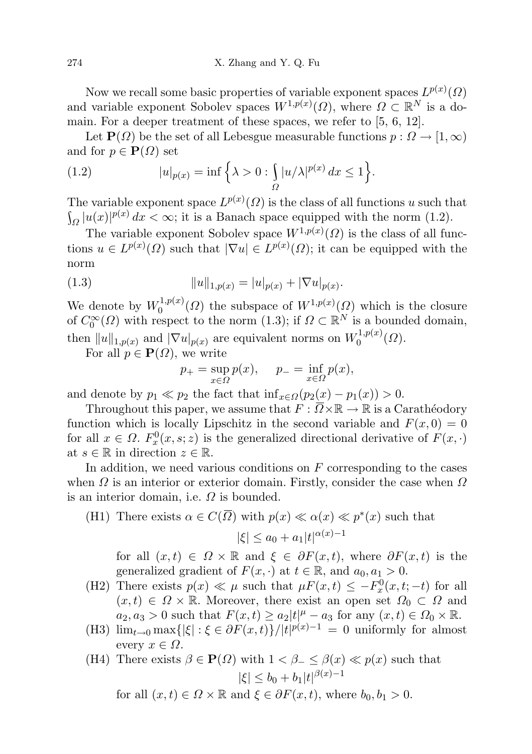Now we recall some basic properties of variable exponent spaces  $L^{p(x)}(\Omega)$ and variable exponent Sobolev spaces  $W^{1,p(x)}(\Omega)$ , where  $\Omega \subset \mathbb{R}^N$  is a domain. For a deeper treatment of these spaces, we refer to [5, 6, 12].

Let  $\mathbf{P}(\Omega)$  be the set of all Lebesgue measurable functions  $p : \Omega \to [1,\infty)$ and for  $p \in \mathbf{P}(\Omega)$  set

(1.2) 
$$
|u|_{p(x)} = \inf \left\{ \lambda > 0 : \int_{\Omega} |u/\lambda|^{p(x)} dx \le 1 \right\}.
$$

The variable exponent space  $L^{p(x)}(\Omega)$  is the class of all functions u such that  $\int_{\Omega} |u(x)|^{p(x)} dx < \infty$ ; it is a Banach space equipped with the norm (1.2).

The variable exponent Sobolev space  $W^{1,p(x)}(\Omega)$  is the class of all functions  $u \in L^{p(x)}(\Omega)$  such that  $|\nabla u| \in L^{p(x)}(\Omega)$ ; it can be equipped with the norm

(1.3) 
$$
||u||_{1,p(x)} = |u|_{p(x)} + |\nabla u|_{p(x)}.
$$

We denote by  $W_0^{1,p(x)}$  $\mathcal{O}_0^{(1,p(x)}(\Omega)$  the subspace of  $W^{1,p(x)}(\Omega)$  which is the closure of  $C_0^{\infty}(\Omega)$  with respect to the norm (1.3); if  $\Omega \subset \mathbb{R}^N$  is a bounded domain, then  $||u||_{1,p(x)}$  and  $|\nabla u|_{p(x)}$  are equivalent norms on  $W_0^{1,p(x)}$  $\binom{1,p(x)}{0}$ 

For all  $p \in \mathbf{P}(\Omega)$ , we write

$$
p_{+} = \sup_{x \in \Omega} p(x), \quad p_{-} = \inf_{x \in \Omega} p(x),
$$

and denote by  $p_1 \ll p_2$  the fact that  $\inf_{x \in \Omega}(p_2(x) - p_1(x)) > 0$ .

Throughout this paper, we assume that  $F: \Omega \times \mathbb{R} \to \mathbb{R}$  is a Carathéodory function which is locally Lipschitz in the second variable and  $F(x, 0) = 0$ for all  $x \in \Omega$ .  $F_x^0(x, s; z)$  is the generalized directional derivative of  $F(x, \cdot)$ at  $s \in \mathbb{R}$  in direction  $z \in \mathbb{R}$ .

In addition, we need various conditions on  $F$  corresponding to the cases when  $\Omega$  is an interior or exterior domain. Firstly, consider the case when  $\Omega$ is an interior domain, i.e.  $\Omega$  is bounded.

(H1) There exists  $\alpha \in C(\overline{\Omega})$  with  $p(x) \ll \alpha(x) \ll p^*(x)$  such that  $|\xi| \le a_0 + a_1 |t|^{\alpha(x)-1}$ 

for all  $(x, t) \in \Omega \times \mathbb{R}$  and  $\xi \in \partial F(x, t)$ , where  $\partial F(x, t)$  is the generalized gradient of  $F(x, \cdot)$  at  $t \in \mathbb{R}$ , and  $a_0, a_1 > 0$ .

- (H2) There exists  $p(x) \ll \mu$  such that  $\mu F(x,t) \leq -F_x^0(x,t;-t)$  for all  $(x, t) \in \Omega \times \mathbb{R}$ . Moreover, there exist an open set  $\Omega_0 \subset \Omega$  and  $a_2, a_3 > 0$  such that  $F(x,t) \ge a_2|t|^{\mu} - a_3$  for any  $(x,t) \in \Omega_0 \times \mathbb{R}$ .
- (H3)  $\lim_{t\to 0} \max\{|\xi| : \xi \in \partial F(x,t)\} / |t|^{p(x)-1} = 0$  uniformly for almost every  $x \in \Omega$ .

(H4) There exists 
$$
\beta \in \mathbf{P}(\Omega)
$$
 with  $1 < \beta_- \le \beta(x) \ll p(x)$  such that  $|\xi| \le b_0 + b_1 |t|^{\beta(x)-1}$ 

for all  $(x, t) \in \Omega \times \mathbb{R}$  and  $\xi \in \partial F(x, t)$ , where  $b_0, b_1 > 0$ .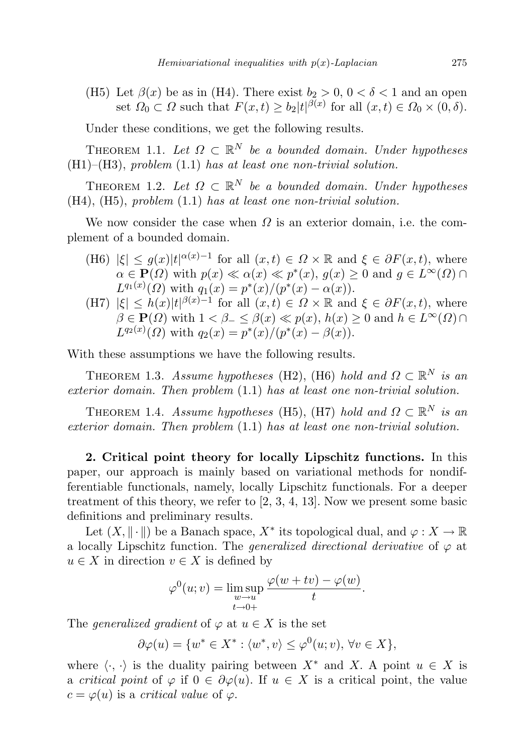(H5) Let  $\beta(x)$  be as in (H4). There exist  $b_2 > 0$ ,  $0 < \delta < 1$  and an open set  $\Omega_0 \subset \Omega$  such that  $F(x,t) \geq b_2|t|^{\beta(x)}$  for all  $(x,t) \in \Omega_0 \times (0,\delta)$ .

Under these conditions, we get the following results.

THEOREM 1.1. Let  $\Omega \subset \mathbb{R}^N$  be a bounded domain. Under hypotheses  $(H1)$ – $(H3)$ , problem  $(1.1)$  has at least one non-trivial solution.

THEOREM 1.2. Let  $\Omega \subset \mathbb{R}^N$  be a bounded domain. Under hypotheses (H4), (H5), problem (1.1) has at least one non-trivial solution.

We now consider the case when  $\Omega$  is an exterior domain, i.e. the complement of a bounded domain.

- (H6)  $|\xi| \leq g(x)|t|^{\alpha(x)-1}$  for all  $(x,t) \in \Omega \times \mathbb{R}$  and  $\xi \in \partial F(x,t)$ , where  $\alpha \in \mathbf{P}(\Omega)$  with  $p(x) \ll \alpha(x) \ll p^*(x)$ ,  $g(x) \geq 0$  and  $g \in L^{\infty}(\Omega)$  $L^{q_1(x)}(\Omega)$  with  $q_1(x) = p^*(x)/(p^*(x) - \alpha(x)).$
- (H7)  $|\xi| \leq h(x)|t|^{\beta(x)-1}$  for all  $(x,t) \in \Omega \times \mathbb{R}$  and  $\xi \in \partial F(x,t)$ , where  $\beta \in \mathbf{P}(\Omega)$  with  $1 < \beta_- \leq \beta(x) \ll p(x), h(x) \geq 0$  and  $h \in L^{\infty}(\Omega) \cap$  $L^{q_2(x)}(\Omega)$  with  $q_2(x) = p^*(x)/(p^*(x) - \beta(x)).$

With these assumptions we have the following results.

THEOREM 1.3. Assume hypotheses (H2), (H6) hold and  $\Omega \subset \mathbb{R}^N$  is an exterior domain. Then problem (1.1) has at least one non-trivial solution.

THEOREM 1.4. Assume hypotheses (H5), (H7) hold and  $\Omega \subset \mathbb{R}^N$  is an exterior domain. Then problem (1.1) has at least one non-trivial solution.

2. Critical point theory for locally Lipschitz functions. In this paper, our approach is mainly based on variational methods for nondifferentiable functionals, namely, locally Lipschitz functionals. For a deeper treatment of this theory, we refer to [2, 3, 4, 13]. Now we present some basic definitions and preliminary results.

Let  $(X, \|\cdot\|)$  be a Banach space,  $X^*$  its topological dual, and  $\varphi: X \to \mathbb{R}$ a locally Lipschitz function. The *generalized directional derivative* of  $\varphi$  at  $u \in X$  in direction  $v \in X$  is defined by

$$
\varphi^{0}(u; v) = \limsup_{\substack{w \to u \\ t \to 0+}} \frac{\varphi(w + tv) - \varphi(w)}{t}.
$$

The generalized gradient of  $\varphi$  at  $u \in X$  is the set

$$
\partial \varphi(u) = \{ w^* \in X^* : \langle w^*, v \rangle \le \varphi^0(u; v), \forall v \in X \},
$$

where  $\langle \cdot, \cdot \rangle$  is the duality pairing between  $X^*$  and X. A point  $u \in X$  is a critical point of  $\varphi$  if  $0 \in \partial \varphi(u)$ . If  $u \in X$  is a critical point, the value  $c = \varphi(u)$  is a critical value of  $\varphi$ .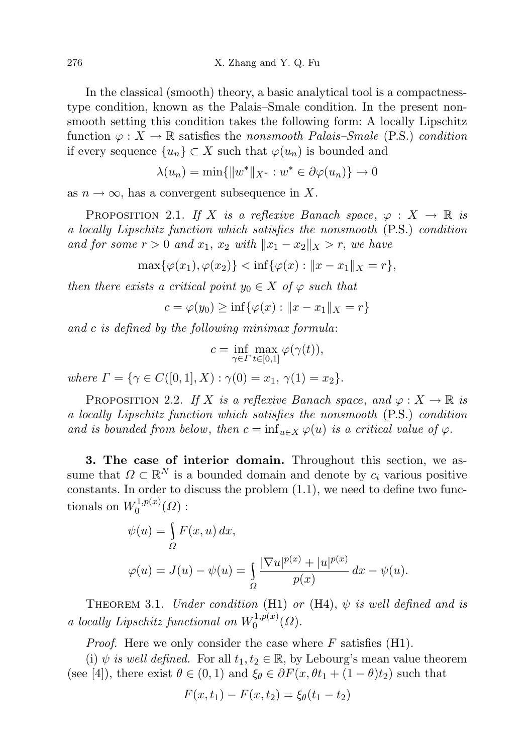In the classical (smooth) theory, a basic analytical tool is a compactnesstype condition, known as the Palais–Smale condition. In the present nonsmooth setting this condition takes the following form: A locally Lipschitz function  $\varphi: X \to \mathbb{R}$  satisfies the nonsmooth Palais–Smale (P.S.) condition if every sequence  $\{u_n\} \subset X$  such that  $\varphi(u_n)$  is bounded and

$$
\lambda(u_n) = \min\{\|w^*\|_{X^*}: w^* \in \partial \varphi(u_n)\} \to 0
$$

as  $n \to \infty$ , has a convergent subsequence in X.

PROPOSITION 2.1. If X is a reflexive Banach space,  $\varphi : X \to \mathbb{R}$  is a locally Lipschitz function which satisfies the nonsmooth (P.S.) condition and for some  $r > 0$  and  $x_1, x_2$  with  $||x_1 - x_2||_X > r$ , we have

 $\max{\{\varphi(x_1), \varphi(x_2)\}} < \inf{\{\varphi(x) : ||x - x_1||_X = r\}},$ 

then there exists a critical point  $y_0 \in X$  of  $\varphi$  such that

$$
c = \varphi(y_0) \ge \inf{\varphi(x) : ||x - x_1||_X = r}
$$

and c is defined by the following minimax formula:

$$
c = \inf_{\gamma \in \Gamma} \max_{t \in [0,1]} \varphi(\gamma(t)),
$$

where  $\Gamma = \{ \gamma \in C([0,1], X) : \gamma(0) = x_1, \gamma(1) = x_2 \}.$ 

PROPOSITION 2.2. If X is a reflexive Banach space, and  $\varphi: X \to \mathbb{R}$  is a locally Lipschitz function which satisfies the nonsmooth (P.S.) condition and is bounded from below, then  $c = \inf_{u \in X} \varphi(u)$  is a critical value of  $\varphi$ .

3. The case of interior domain. Throughout this section, we assume that  $\Omega \subset \mathbb{R}^N$  is a bounded domain and denote by  $c_i$  various positive constants. In order to discuss the problem  $(1.1)$ , we need to define two functionals on  $W_0^{1,p(x)}$  $\mathfrak{o}^{(1,p(x)}(\varOmega):$ 

$$
\psi(u) = \int_{\Omega} F(x, u) dx,
$$
  

$$
\varphi(u) = J(u) - \psi(u) = \int_{\Omega} \frac{|\nabla u|^{p(x)} + |u|^{p(x)}}{p(x)} dx - \psi(u).
$$

THEOREM 3.1. Under condition (H1) or (H4),  $\psi$  is well defined and is a locally Lipschitz functional on  $W_0^{1,p(x)}$  ${\cal C}^{1,p(x)}_{0}(\varOmega).$ 

*Proof.* Here we only consider the case where  $F$  satisfies (H1).

(i)  $\psi$  is well defined. For all  $t_1, t_2 \in \mathbb{R}$ , by Lebourg's mean value theorem (see [4]), there exist  $\theta \in (0,1)$  and  $\xi_{\theta} \in \partial F(x, \theta t_1 + (1 - \theta)t_2)$  such that

$$
F(x, t_1) - F(x, t_2) = \xi_{\theta}(t_1 - t_2)
$$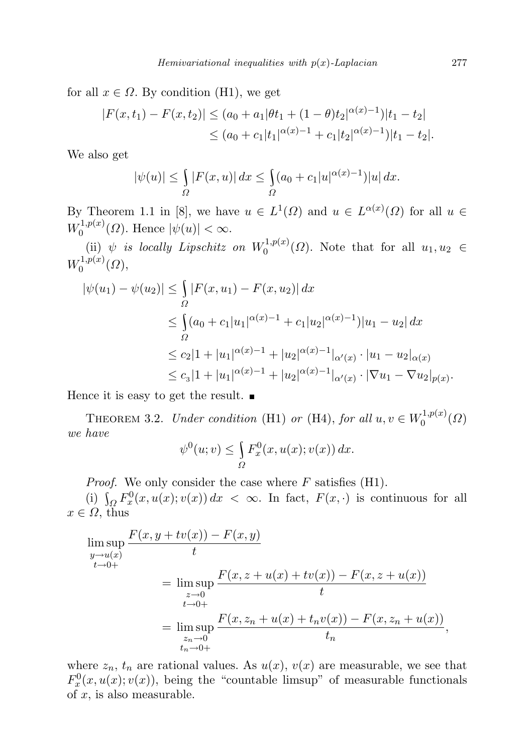for all  $x \in \Omega$ . By condition (H1), we get

$$
|F(x,t_1) - F(x,t_2)| \le (a_0 + a_1|\theta t_1 + (1-\theta)t_2|^{\alpha(x)-1})|t_1 - t_2|
$$
  
 
$$
\le (a_0 + c_1|t_1|^{\alpha(x)-1} + c_1|t_2|^{\alpha(x)-1})|t_1 - t_2|.
$$

We also get

$$
|\psi(u)| \le \int_{\Omega} |F(x, u)| dx \le \int_{\Omega} (a_0 + c_1 |u|^{\alpha(x)-1}) |u| dx.
$$

By Theorem 1.1 in [8], we have  $u \in L^1(\Omega)$  and  $u \in L^{\alpha(x)}(\Omega)$  for all  $u \in$  $W_0^{1,p(x)}$  $\vert \psi^{(1,p(x))}_{0}(\Omega)$ . Hence  $\vert \psi(u) \vert < \infty$ .

(ii)  $\psi$  is locally Lipschitz on  $W_0^{1,p(x)}$  $_0^{\{1,p(x)}(\Omega)$ . Note that for all  $u_1, u_2 \in$  $W_0^{1,p(x)}$  $\binom{1,p(x)}{0}$ 

$$
|\psi(u_1) - \psi(u_2)| \le \int_{\Omega} |F(x, u_1) - F(x, u_2)| dx
$$
  
\n
$$
\le \int_{\Omega} (a_0 + c_1 |u_1|^{\alpha(x)-1} + c_1 |u_2|^{\alpha(x)-1}) |u_1 - u_2| dx
$$
  
\n
$$
\le c_2 |1 + |u_1|^{\alpha(x)-1} + |u_2|^{\alpha(x)-1} |\alpha'(x) \cdot |u_1 - u_2|_{\alpha(x)}
$$
  
\n
$$
\le c_3 |1 + |u_1|^{\alpha(x)-1} + |u_2|^{\alpha(x)-1} |\alpha'(x) \cdot |\nabla u_1 - \nabla u_2|_{p(x)}.
$$

Hence it is easy to get the result.  $\blacksquare$ 

THEOREM 3.2. Under condition (H1) or (H4), for all  $u, v \in W_0^{1,p(x)}$  $\binom{1}{0}^{(1,p(x))}$ we have

$$
\psi^{0}(u; v) \leq \int_{\Omega} F_{x}^{0}(x, u(x); v(x)) dx.
$$

*Proof.* We only consider the case where  $F$  satisfies (H1).

(i)  $\int_{\Omega} F_x^0(x, u(x); v(x)) dx < \infty$ . In fact,  $F(x, \cdot)$  is continuous for all  $x \in \Omega$ , thus

$$
\limsup_{y \to u(x)} \frac{F(x, y + tv(x)) - F(x, y)}{t}
$$
\n
$$
= \limsup_{\substack{z \to 0 \\ t \to 0+}} \frac{F(x, z + u(x) + tv(x)) - F(x, z + u(x))}{t}
$$
\n
$$
= \limsup_{\substack{z \to 0 \\ t_n \to 0+}} \frac{F(x, z_n + u(x) + t_n v(x)) - F(x, z_n + u(x))}{t_n},
$$

where  $z_n$ ,  $t_n$  are rational values. As  $u(x)$ ,  $v(x)$  are measurable, we see that  $F_x^0(x, u(x); v(x))$ , being the "countable limsup" of measurable functionals of  $x$ , is also measurable.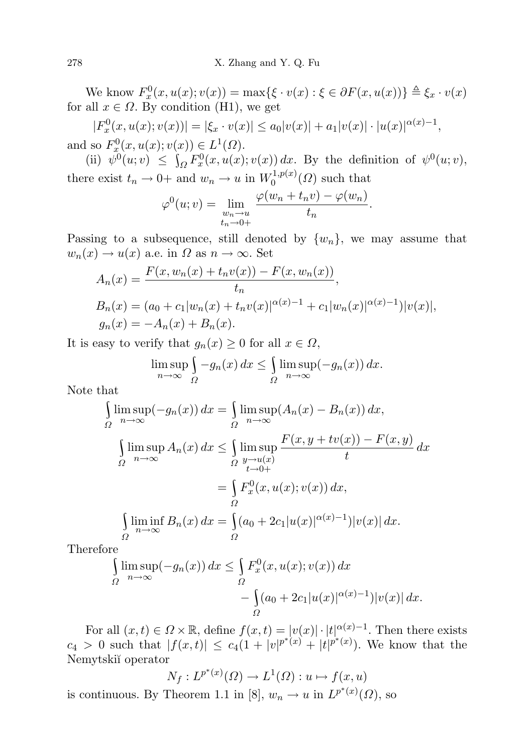We know  $F_x^0(x, u(x); v(x)) = \max{\{\xi \cdot v(x) : \xi \in \partial F(x, u(x))\}} \triangleq \xi_x \cdot v(x)$ for all  $x \in \Omega$ . By condition (H<sub>1</sub>), we get

 $|F_x^0(x, u(x); v(x))| = |\xi_x \cdot v(x)| \le a_0 |v(x)| + a_1 |v(x)| \cdot |u(x)|^{\alpha(x)-1},$ and so  $F_x^0(x, u(x); v(x)) \in L^1(\Omega)$ .

(ii)  $\psi^0(u; v) \leq \int_{\Omega} F_x^0(x, u(x); v(x)) dx$ . By the definition of  $\psi^0(u; v)$ , there exist  $t_n \to 0^+$  and  $w_n \to u$  in  $W_0^{1,p(x)}$  $\binom{1}{0}^{1,p(x)}(\Omega)$  such that

$$
\varphi^{0}(u; v) = \lim_{\substack{w_n \to u \\ t_n \to 0+}} \frac{\varphi(w_n + t_n v) - \varphi(w_n)}{t_n}.
$$

Passing to a subsequence, still denoted by  $\{w_n\}$ , we may assume that  $w_n(x) \to u(x)$  a.e. in  $\Omega$  as  $n \to \infty$ . Set

$$
A_n(x) = \frac{F(x, w_n(x) + t_n v(x)) - F(x, w_n(x))}{t_n},
$$
  
\n
$$
B_n(x) = (a_0 + c_1 |w_n(x) + t_n v(x)|^{\alpha(x)-1} + c_1 |w_n(x)|^{\alpha(x)-1})|v(x)|,
$$
  
\n
$$
g_n(x) = -A_n(x) + B_n(x).
$$

It is easy to verify that  $g_n(x) \geq 0$  for all  $x \in \Omega$ ,

$$
\limsup_{n \to \infty} \int_{\Omega} -g_n(x) \, dx \le \int_{\Omega} \limsup_{n \to \infty} (-g_n(x)) \, dx.
$$

Note that

$$
\int_{\Omega} \limsup_{n \to \infty} (-g_n(x)) dx = \int_{\Omega} \limsup_{n \to \infty} (A_n(x) - B_n(x)) dx,
$$
  

$$
\int_{\Omega} \limsup_{n \to \infty} A_n(x) dx \le \int_{\Omega} \limsup_{y \to u(x)} \frac{F(x, y + tv(x)) - F(x, y)}{t} dx
$$
  

$$
= \int_{\Omega} F_x^0(x, u(x); v(x)) dx,
$$
  

$$
\int_{\Omega} \liminf_{n \to \infty} B_n(x) dx = \int_{\Omega} (a_0 + 2c_1 |u(x)|^{\alpha(x)-1}) |v(x)| dx.
$$

Therefore

$$
\int_{\Omega} \limsup_{n \to \infty} (-g_n(x)) dx \le \int_{\Omega} F_x^0(x, u(x); v(x)) dx
$$

$$
- \int_{\Omega} (a_0 + 2c_1 |u(x)|^{\alpha(x)-1}) |v(x)| dx.
$$

For all  $(x, t) \in \Omega \times \mathbb{R}$ , define  $f(x,t) = |v(x)| \cdot |t|^{\alpha(x)-1}$ . Then there exists  $c_4 > 0$  such that  $|f(x,t)| \leq c_4(1+|v|^{p^*(x)}+|t|^{p^*(x)})$ . We know that the Nemytski˘ı operator

$$
N_f: L^{p^*(x)}(\Omega) \to L^1(\Omega): u \mapsto f(x, u)
$$
  
is continuous. By Theorem 1.1 in [8],  $w_n \to u$  in  $L^{p^*(x)}(\Omega)$ , so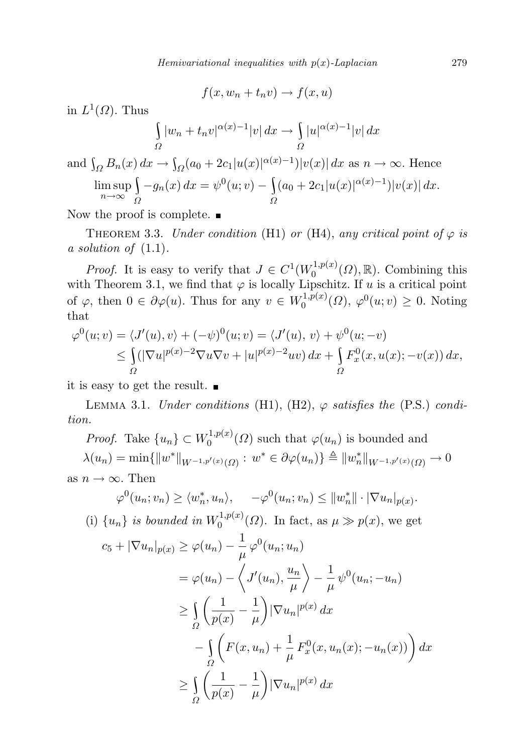$$
f(x, w_n + t_n v) \to f(x, u)
$$

in  $L^1(\Omega)$ . Thus

$$
\int_{\Omega} |w_n + t_n v|^{\alpha(x)-1} |v| \, dx \to \int_{\Omega} |u|^{\alpha(x)-1} |v| \, dx
$$

and 
$$
\int_{\Omega} B_n(x) dx \to \int_{\Omega} (a_0 + 2c_1 |u(x)|^{\alpha(x)-1}) |v(x)| dx
$$
 as  $n \to \infty$ . Hence  

$$
\limsup_{n \to \infty} \int_{\Omega} -g_n(x) dx = \psi^0(u; v) - \int_{\Omega} (a_0 + 2c_1 |u(x)|^{\alpha(x)-1}) |v(x)| dx.
$$

Now the proof is complete.  $\blacksquare$ 

THEOREM 3.3. Under condition (H1) or (H4), any critical point of  $\varphi$  is a solution of  $(1.1)$ .

*Proof.* It is easy to verify that  $J \in C^1(W_0^{1,p(x)})$  $C_0^{1,p(x)}(\Omega), \mathbb{R}$ . Combining this with Theorem 3.1, we find that  $\varphi$  is locally Lipschitz. If u is a critical point of  $\varphi$ , then  $0 \in \partial \varphi(u)$ . Thus for any  $v \in W_0^{1,p(x)}$  $v_0^{1,p(x)}(\Omega)$ ,  $\varphi^0(u;v) \geq 0$ . Noting that

$$
\varphi^{0}(u; v) = \langle J'(u), v \rangle + (-\psi)^{0}(u; v) = \langle J'(u), v \rangle + \psi^{0}(u; -v)
$$
  
\n
$$
\leq \int_{\Omega} (|\nabla u|^{p(x)-2} \nabla u \nabla v + |u|^{p(x)-2} uv) dx + \int_{\Omega} F_{x}^{0}(x, u(x); -v(x)) dx,
$$

it is easy to get the result.

LEMMA 3.1. Under conditions (H1), (H2),  $\varphi$  satisfies the (P.S.) condition.

*Proof.* Take  $\{u_n\} \subset W_0^{1,p(x)}$  $\varphi_0^{(1,p(x))}(\Omega)$  such that  $\varphi(u_n)$  is bounded and  $\lambda(u_n) = \min \{ ||w^*||_{W^{-1,p'(x)}(\Omega)} : w^* \in \partial \varphi(u_n) \} \triangleq ||w^*_n||_{W^{-1,p'(x)}(\Omega)} \to 0$ as  $n \to \infty$ . Then

$$
\varphi^{0}(u_{n}; v_{n}) \geq \langle w_{n}^{*}, u_{n} \rangle, \quad -\varphi^{0}(u_{n}; v_{n}) \leq ||w_{n}^{*}|| \cdot |\nabla u_{n}|_{p(x)}.
$$

(i)  $\{u_n\}$  is bounded in  $W_0^{1,p(x)}$  $0^{(1,p(x))}$  ( $\Omega$ ). In fact, as  $\mu \gg p(x)$ , we get

$$
c_5 + |\nabla u_n|_{p(x)} \ge \varphi(u_n) - \frac{1}{\mu} \varphi^0(u_n; u_n)
$$
  
\n
$$
= \varphi(u_n) - \left\langle J'(u_n), \frac{u_n}{\mu} \right\rangle - \frac{1}{\mu} \psi^0(u_n; -u_n)
$$
  
\n
$$
\ge \int_{\Omega} \left( \frac{1}{p(x)} - \frac{1}{\mu} \right) |\nabla u_n|^{p(x)} dx
$$
  
\n
$$
- \int_{\Omega} \left( F(x, u_n) + \frac{1}{\mu} F_x^0(x, u_n(x); -u_n(x)) \right) dx
$$
  
\n
$$
\ge \int_{\Omega} \left( \frac{1}{p(x)} - \frac{1}{\mu} \right) |\nabla u_n|^{p(x)} dx
$$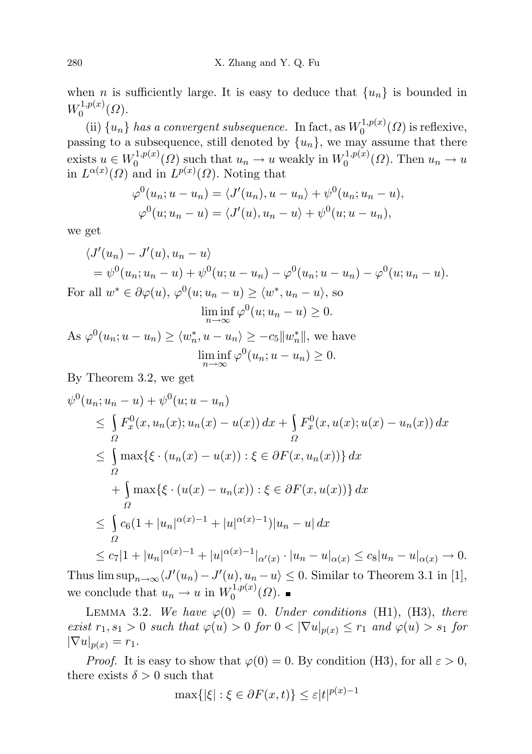when *n* is sufficiently large. It is easy to deduce that  $\{u_n\}$  is bounded in  $W_0^{1,p(x)}$  $\binom{1}{0}^{(1,p(x))}(\Omega).$ 

(ii)  $\{u_n\}$  has a convergent subsequence. In fact, as  $W_0^{1,p(x)}$  $\binom{1}{0}^{1,p(x)}(\Omega)$  is reflexive, passing to a subsequence, still denoted by  $\{u_n\}$ , we may assume that there exists  $u \in W_0^{1,p(x)}$  $u_0^{1,p(x)}(\Omega)$  such that  $u_n \to u$  weakly in  $W_0^{1,p(x)}$  $u_0^{(1,p(x))}(\Omega)$ . Then  $u_n \to u$ in  $L^{\alpha(x)}(\Omega)$  and in  $L^{p(x)}(\Omega)$ . Noting that

$$
\varphi^{0}(u_{n}; u - u_{n}) = \langle J'(u_{n}), u - u_{n} \rangle + \psi^{0}(u_{n}; u_{n} - u),
$$
  

$$
\varphi^{0}(u; u_{n} - u) = \langle J'(u), u_{n} - u \rangle + \psi^{0}(u; u - u_{n}),
$$

we get

$$
\langle J'(u_n) - J'(u), u_n - u \rangle
$$
  
=  $\psi^0(u_n; u_n - u) + \psi^0(u; u - u_n) - \varphi^0(u_n; u - u_n) - \varphi^0(u; u_n - u).$   
For all  $w^* \in \partial \varphi(u), \varphi^0(u; u_n - u) \ge \langle w^*, u_n - u \rangle$ , so

$$
\liminf_{n \to \infty} \varphi^0(u; u_n - u) \ge 0.
$$

As 
$$
\varphi^0(u_n; u - u_n) \ge \langle w_n^*, u - u_n \rangle \ge -c_5 \|w_n^*\|
$$
, we have  

$$
\liminf_{n \to \infty} \varphi^0(u_n; u - u_n) \ge 0.
$$

By Theorem 3.2, we get

$$
\psi^{0}(u_{n}; u_{n} - u) + \psi^{0}(u; u - u_{n})
$$
\n
$$
\leq \int_{\Omega} F_{x}^{0}(x, u_{n}(x); u_{n}(x) - u(x)) dx + \int_{\Omega} F_{x}^{0}(x, u(x); u(x) - u_{n}(x)) dx
$$
\n
$$
\leq \int_{\Omega} \max \{\xi \cdot (u_{n}(x) - u(x)) : \xi \in \partial F(x, u_{n}(x))\} dx
$$
\n
$$
+ \int_{\Omega} \max \{\xi \cdot (u(x) - u_{n}(x)) : \xi \in \partial F(x, u(x))\} dx
$$
\n
$$
\leq \int_{\Omega} c_{6}(1 + |u_{n}|^{\alpha(x)-1} + |u|^{\alpha(x)-1}) |u_{n} - u| dx
$$
\n
$$
\leq c_{7}|1 + |u_{n}|^{\alpha(x)-1} + |u|^{\alpha(x)-1}|_{\alpha'(x)} \cdot |u_{n} - u|_{\alpha(x)} \leq c_{8}|u_{n} - u|_{\alpha(x)} \to 0.
$$

Thus  $\limsup_{n\to\infty}$  $\langle J'(u_n) - J'(u), u_n - u \rangle \leq 0$ . Similar to Theorem 3.1 in [1], we conclude that  $u_n \to u$  in  $W_0^{1,p(x)}$  $\binom{1}{0}^{(1,p(x))}$ 

LEMMA 3.2. We have  $\varphi(0) = 0$ . Under conditions (H1), (H3), there exist  $r_1, s_1 > 0$  such that  $\varphi(u) > 0$  for  $0 < |\nabla u|_{p(x)} \leq r_1$  and  $\varphi(u) > s_1$  for  $|\nabla u|_{p(x)} = r_1.$ 

*Proof.* It is easy to show that  $\varphi(0) = 0$ . By condition (H3), for all  $\varepsilon > 0$ , there exists  $\delta > 0$  such that

$$
\max\{|\xi| : \xi \in \partial F(x,t)\} \le \varepsilon |t|^{p(x)-1}
$$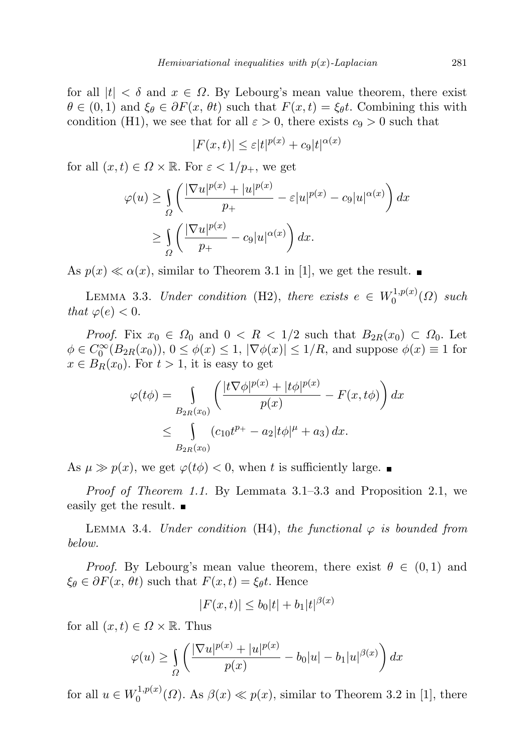for all  $|t| < \delta$  and  $x \in \Omega$ . By Lebourg's mean value theorem, there exist  $\theta \in (0,1)$  and  $\xi_{\theta} \in \partial F(x, \theta t)$  such that  $F(x,t) = \xi_{\theta} t$ . Combining this with condition (H1), we see that for all  $\varepsilon > 0$ , there exists  $c_9 > 0$  such that

$$
|F(x,t)| \le \varepsilon |t|^{p(x)} + c_9 |t|^{\alpha(x)}
$$

for all  $(x, t) \in \Omega \times \mathbb{R}$ . For  $\varepsilon < 1/p_+$ , we get

$$
\varphi(u) \ge \int_{\Omega} \left( \frac{|\nabla u|^{p(x)} + |u|^{p(x)}}{p_+} - \varepsilon |u|^{p(x)} - c_9 |u|^{\alpha(x)} \right) dx
$$
  
 
$$
\ge \int_{\Omega} \left( \frac{|\nabla u|^{p(x)}}{p_+} - c_9 |u|^{\alpha(x)} \right) dx.
$$

As  $p(x) \ll \alpha(x)$ , similar to Theorem 3.1 in [1], we get the result.

LEMMA 3.3. Under condition (H2), there exists  $e \in W_0^{1,p(x)}$  $\binom{1,p(x)}{0}$  such that  $\varphi(e) < 0$ .

*Proof.* Fix  $x_0 \in \Omega_0$  and  $0 \lt R \lt 1/2$  such that  $B_{2R}(x_0) \subset \Omega_0$ . Let  $\phi \in C_0^{\infty}(B_{2R}(x_0)), 0 \le \phi(x) \le 1, |\nabla \phi(x)| \le 1/R$ , and suppose  $\phi(x) \equiv 1$  for  $x \in B_R(x_0)$ . For  $t > 1$ , it is easy to get

$$
\varphi(t\phi) = \int_{B_{2R}(x_0)} \left( \frac{|t\nabla \phi|^{p(x)} + |t\phi|^{p(x)}}{p(x)} - F(x, t\phi) \right) dx
$$
  

$$
\leq \int_{B_{2R}(x_0)} (c_{10}t^{p_+} - a_2|t\phi|^{\mu} + a_3) dx.
$$

As  $\mu \gg p(x)$ , we get  $\varphi(t\phi) < 0$ , when t is sufficiently large.

Proof of Theorem 1.1. By Lemmata 3.1–3.3 and Proposition 2.1, we easily get the result.  $\blacksquare$ 

LEMMA 3.4. Under condition (H4), the functional  $\varphi$  is bounded from below.

*Proof.* By Lebourg's mean value theorem, there exist  $\theta \in (0,1)$  and  $\xi_{\theta} \in \partial F(x, \theta t)$  such that  $F(x, t) = \xi_{\theta} t$ . Hence

$$
|F(x,t)| \le b_0|t| + b_1|t|^{\beta(x)}
$$

for all  $(x, t) \in \Omega \times \mathbb{R}$ . Thus

$$
\varphi(u) \ge \int_{\Omega} \left( \frac{|\nabla u|^{p(x)} + |u|^{p(x)}}{p(x)} - b_0|u| - b_1|u|^{\beta(x)} \right) dx
$$

for all  $u \in W_0^{1,p(x)}$  $0^{(1,p(x)}(0)$ . As  $\beta(x) \ll p(x)$ , similar to Theorem 3.2 in [1], there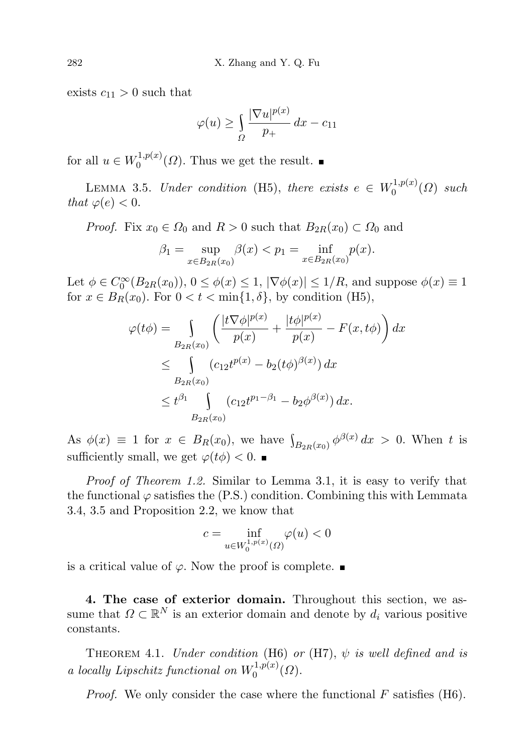exists  $c_{11} > 0$  such that

$$
\varphi(u) \ge \int_{\Omega} \frac{|\nabla u|^{p(x)}}{p_+} dx - c_{11}
$$

for all  $u \in W_0^{1,p(x)}$  $0^{(1,p(x))}$  ( $\Omega$ ). Thus we get the result.

LEMMA 3.5. Under condition (H5), there exists  $e \in W_0^{1,p(x)}$  $\binom{1,p(x)}{0}$  such that  $\varphi(e) < 0$ .

*Proof.* Fix  $x_0 \in \Omega_0$  and  $R > 0$  such that  $B_{2R}(x_0) \subset \Omega_0$  and

$$
\beta_1 = \sup_{x \in B_{2R}(x_0)} \beta(x) < p_1 = \inf_{x \in B_{2R}(x_0)} p(x).
$$

Let  $\phi \in C_0^{\infty}(B_{2R}(x_0)), 0 \le \phi(x) \le 1, |\nabla \phi(x)| \le 1/R$ , and suppose  $\phi(x) \equiv 1$ for  $x \in B_R(x_0)$ . For  $0 < t < \min\{1, \delta\}$ , by condition (H5),

$$
\varphi(t\phi) = \int_{B_{2R}(x_0)} \left( \frac{|t\nabla \phi|^{p(x)}}{p(x)} + \frac{|t\phi|^{p(x)}}{p(x)} - F(x, t\phi) \right) dx
$$
  
\n
$$
\leq \int_{B_{2R}(x_0)} (c_{12}t^{p(x)} - b_2(t\phi)^{\beta(x)}) dx
$$
  
\n
$$
\leq t^{\beta_1} \int_{B_{2R}(x_0)} (c_{12}t^{p_1-\beta_1} - b_2\phi^{\beta(x)}) dx.
$$

As  $\phi(x) \equiv 1$  for  $x \in B_R(x_0)$ , we have  $\int_{B_{2R}(x_0)} \phi^{\beta(x)} dx > 0$ . When t is sufficiently small, we get  $\varphi(t\phi) < 0$ .

Proof of Theorem 1.2. Similar to Lemma 3.1, it is easy to verify that the functional  $\varphi$  satisfies the (P.S.) condition. Combining this with Lemmata 3.4, 3.5 and Proposition 2.2, we know that

$$
c = \inf_{u \in W_0^{1, p(x)}(\Omega)} \varphi(u) < 0
$$

is a critical value of  $\varphi$ . Now the proof is complete. ■

4. The case of exterior domain. Throughout this section, we assume that  $\Omega \subset \mathbb{R}^N$  is an exterior domain and denote by  $d_i$  various positive constants.

THEOREM 4.1. Under condition (H6) or (H7),  $\psi$  is well defined and is a locally Lipschitz functional on  $W_0^{1,p(x)}$  ${\bf T}^{1,p(x)}_{0}(\Omega).$ 

*Proof.* We only consider the case where the functional  $F$  satisfies (H6).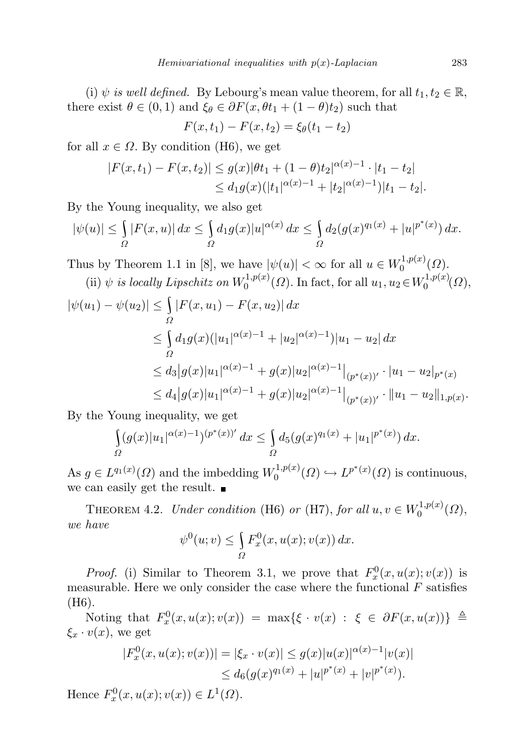(i)  $\psi$  is well defined. By Lebourg's mean value theorem, for all  $t_1, t_2 \in \mathbb{R}$ , there exist  $\theta \in (0,1)$  and  $\xi_{\theta} \in \partial F(x, \theta t_1 + (1 - \theta)t_2)$  such that

$$
F(x, t_1) - F(x, t_2) = \xi_{\theta}(t_1 - t_2)
$$

for all  $x \in \Omega$ . By condition (H6), we get

$$
|F(x,t_1) - F(x,t_2)| \le g(x)|\theta t_1 + (1-\theta)t_2|^{\alpha(x)-1} \cdot |t_1 - t_2|
$$
  
\n
$$
\le d_1 g(x)(|t_1|^{\alpha(x)-1} + |t_2|^{\alpha(x)-1})|t_1 - t_2|.
$$

By the Young inequality, we also get

$$
|\psi(u)| \leq \int_{\Omega} |F(x, u)| dx \leq \int_{\Omega} d_1 g(x) |u|^{\alpha(x)} dx \leq \int_{\Omega} d_2 (g(x)^{q_1(x)} + |u|^{p^*(x)}) dx.
$$

Thus by Theorem 1.1 in [8], we have  $|\psi(u)| < \infty$  for all  $u \in W_0^{1,p(x)}$  $\mathcal{O}^{(1,p(x)}(\Omega).$ (ii)  $\psi$  is locally Lipschitz on  $W_0^{1,p(x)}$  $v_0^{1,p(x)}(\Omega)$ . In fact, for all  $u_1, u_2 \in W_0^{1,p(x)}$  $\mathcal{O}^{(1,p(x)}(\Omega),$ 

$$
|\psi(u_1) - \psi(u_2)| \le \int_{\Omega} |F(x, u_1) - F(x, u_2)| dx
$$
  
\n
$$
\le \int_{\Omega} d_1 g(x) (|u_1|^{\alpha(x)-1} + |u_2|^{\alpha(x)-1}) |u_1 - u_2| dx
$$
  
\n
$$
\le d_3 |g(x)|u_1|^{\alpha(x)-1} + g(x)|u_2|^{\alpha(x)-1} |_{(p^*(x))'} \cdot |u_1 - u_2|_{p^*(x)}
$$
  
\n
$$
\le d_4 |g(x)|u_1|^{\alpha(x)-1} + g(x)|u_2|^{\alpha(x)-1} |_{(p^*(x))'} \cdot ||u_1 - u_2||_{1,p(x)}.
$$

By the Young inequality, we get

$$
\int_{\Omega} (g(x)|u_1|^{\alpha(x)-1})^{(p^*(x))'} dx \leq \int_{\Omega} d_5(g(x)^{q_1(x)} + |u_1|^{p^*(x)}) dx.
$$

As  $g \in L^{q_1(x)}(\Omega)$  and the imbedding  $W_0^{1,p(x)}$  $L^{1,p(x)}(Q) \hookrightarrow L^{p^*(x)}(Q)$  is continuous, we can easily get the result.

THEOREM 4.2. Under condition (H6) or (H7), for all  $u, v \in W_0^{1,p(x)}$  $\zeta_0^{1,p(x)}(\Omega),$ we have

$$
\psi^0(u; v) \leq \int_{\Omega} F_x^0(x, u(x); v(x)) dx.
$$

*Proof.* (i) Similar to Theorem 3.1, we prove that  $F_x^0(x, u(x); v(x))$  is measurable. Here we only consider the case where the functional  $F$  satisfies (H6).

Noting that  $F_x^0(x, u(x); v(x)) = \max{\{\xi \cdot v(x) : \xi \in \partial F(x, u(x))\}} \triangleq$  $\xi_x \cdot v(x)$ , we get

$$
|F_x^0(x, u(x); v(x))| = |\xi_x \cdot v(x)| \le g(x)|u(x)|^{\alpha(x)-1}|v(x)|
$$
  
\n
$$
\le d_6(g(x)^{q_1(x)} + |u|^{p^*(x)} + |v|^{p^*(x)}).
$$

Hence  $F_x^0(x, u(x); v(x)) \in L^1(\Omega)$ .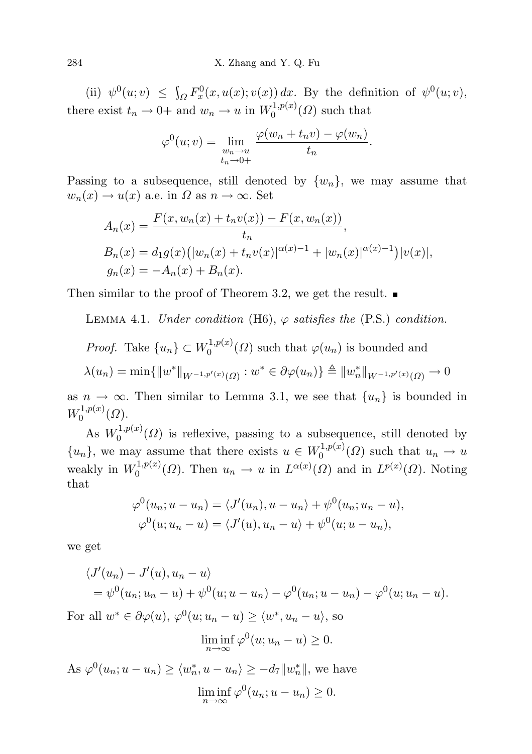(ii)  $\psi^0(u; v) \leq \int_{\Omega} F_x^0(x, u(x); v(x)) dx$ . By the definition of  $\psi^0(u; v)$ , there exist  $t_n \to 0+$  and  $w_n \to u$  in  $W_0^{1,p(x)}$  $\binom{1}{0}^{(1)}(0)$  such that

$$
\varphi^{0}(u; v) = \lim_{\substack{w_n \to u \\ t_n \to 0+}} \frac{\varphi(w_n + t_n v) - \varphi(w_n)}{t_n}.
$$

Passing to a subsequence, still denoted by  $\{w_n\}$ , we may assume that  $w_n(x) \to u(x)$  a.e. in  $\Omega$  as  $n \to \infty$ . Set

$$
A_n(x) = \frac{F(x, w_n(x) + t_n v(x)) - F(x, w_n(x))}{t_n},
$$
  
\n
$$
B_n(x) = d_1 g(x) (|w_n(x) + t_n v(x)|^{\alpha(x)-1} + |w_n(x)|^{\alpha(x)-1}) |v(x)|,
$$
  
\n
$$
g_n(x) = -A_n(x) + B_n(x).
$$

Then similar to the proof of Theorem 3.2, we get the result.  $\blacksquare$ 

LEMMA 4.1. Under condition (H6),  $\varphi$  satisfies the (P.S.) condition.

*Proof.* Take 
$$
\{u_n\} \subset W_0^{1,p(x)}(\Omega)
$$
 such that  $\varphi(u_n)$  is bounded and

$$
\lambda(u_n) = \min \{ ||w^*||_{W^{-1,p'(x)}(\Omega)} : w^* \in \partial \varphi(u_n) \} \triangleq ||w^*_n||_{W^{-1,p'(x)}(\Omega)} \to 0
$$

as  $n \to \infty$ . Then similar to Lemma 3.1, we see that  $\{u_n\}$  is bounded in  $W_0^{1,p(x)}$  $0^{(1,p(x)}(\Omega).$ 

As  $W_0^{1,p(x)}$  $0^{(1,p(x))}$  ( $\Omega$ ) is reflexive, passing to a subsequence, still denoted by  ${u_n}$ , we may assume that there exists  $u \in W_0^{1,p(x)}$  $u_0^{(1,p(x))}(\Omega)$  such that  $u_n \to u$ weakly in  $W_0^{1,p(x)}$  $\mathcal{L}^{(1,p(x)}(\Omega)$ . Then  $u_n \to u$  in  $L^{\alpha(x)}(\Omega)$  and in  $L^{p(x)}(\Omega)$ . Noting that

$$
\varphi^{0}(u_{n}; u - u_{n}) = \langle J'(u_{n}), u - u_{n} \rangle + \psi^{0}(u_{n}; u_{n} - u),
$$
  

$$
\varphi^{0}(u; u_{n} - u) = \langle J'(u), u_{n} - u \rangle + \psi^{0}(u; u - u_{n}),
$$

we get

$$
\langle J'(u_n) - J'(u), u_n - u \rangle
$$
  
=  $\psi^0(u_n; u_n - u) + \psi^0(u; u - u_n) - \varphi^0(u_n; u - u_n) - \varphi^0(u; u_n - u).$ 

For all  $w^* \in \partial \varphi(u), \varphi^0(u; u_n - u) \ge \langle w^*, u_n - u \rangle$ , so

$$
\liminf_{n \to \infty} \varphi^0(u; u_n - u) \ge 0.
$$

As  $\varphi^0(u_n; u - u_n) \ge \langle w_n^*, u - u_n \rangle \ge -d_7 \|w_n^*\|$ , we have  $\liminf_{n\to\infty}\varphi^0(u_n;u-u_n)\geq 0.$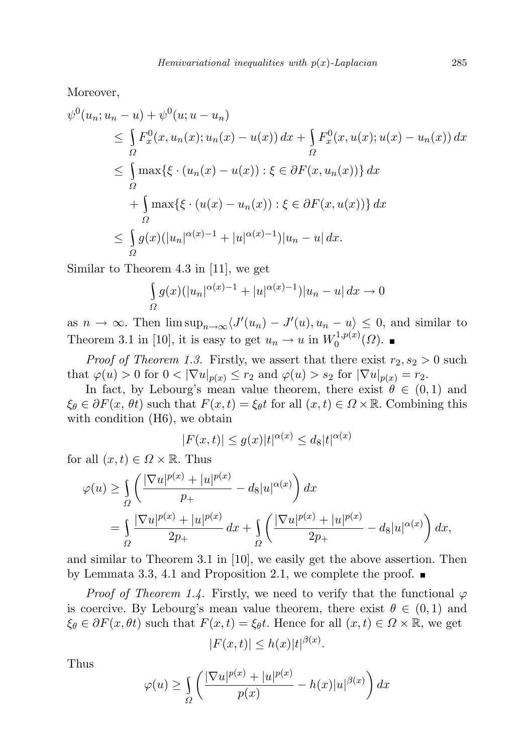Moreover,

$$
\psi^{0}(u_{n}; u_{n} - u) + \psi^{0}(u; u - u_{n})
$$
\n
$$
\leq \int_{\Omega} F_{x}^{0}(x, u_{n}(x); u_{n}(x) - u(x)) dx + \int_{\Omega} F_{x}^{0}(x, u(x); u(x) - u_{n}(x)) dx
$$
\n
$$
\leq \int_{\Omega} \max \{\xi \cdot (u_{n}(x) - u(x)) : \xi \in \partial F(x, u_{n}(x))\} dx
$$
\n
$$
+ \int_{\Omega} \max \{\xi \cdot (u(x) - u_{n}(x)) : \xi \in \partial F(x, u(x))\} dx
$$
\n
$$
\leq \int_{\Omega} g(x) (|u_{n}|^{\alpha(x)-1} + |u|^{\alpha(x)-1}) |u_{n} - u| dx.
$$

Similar to Theorem 4.3 in [11], we get

$$
\int_{\Omega} g(x)(|u_n|^{\alpha(x)-1} + |u|^{\alpha(x)-1}) |u_n - u| dx \to 0
$$

as  $n \to \infty$ . Then  $\limsup_{n \to \infty} \langle J'(u_n) - J'(u), u_n - u \rangle \leq 0$ , and similar to Theorem 3.1 in [10], it is easy to get  $u_n \to u$  in  $W_0^{1,p(x)}$  $\binom{1,p(x)}{0}$ 

*Proof of Theorem 1.3.* Firstly, we assert that there exist  $r_2$ ,  $s_2 > 0$  such that  $\varphi(u) > 0$  for  $0 < |\nabla u|_{p(x)} \le r_2$  and  $\varphi(u) > s_2$  for  $|\nabla u|_{p(x)} = r_2$ .

In fact, by Lebourg's mean value theorem, there exist  $\theta \in (0,1)$  and  $\xi_{\theta} \in \partial F(x, \theta t)$  such that  $F(x, t) = \xi_{\theta} t$  for all  $(x, t) \in \Omega \times \mathbb{R}$ . Combining this with condition  $(H6)$ , we obtain

$$
|F(x,t)| \le g(x)|t|^{\alpha(x)} \le d_8|t|^{\alpha(x)}
$$

for all  $(x, t) \in \Omega \times \mathbb{R}$ . Thus

$$
\varphi(u) \ge \int_{\Omega} \left( \frac{|\nabla u|^{p(x)} + |u|^{p(x)}}{p_+} - ds |u|^{\alpha(x)} \right) dx
$$
  
= 
$$
\int_{\Omega} \frac{|\nabla u|^{p(x)} + |u|^{p(x)}}{2p_+} dx + \int_{\Omega} \left( \frac{|\nabla u|^{p(x)} + |u|^{p(x)}}{2p_+} - ds |u|^{\alpha(x)} \right) dx,
$$

and similar to Theorem 3.1 in [10], we easily get the above assertion. Then by Lemmata 3.3, 4.1 and Proposition 2.1, we complete the proof.

*Proof of Theorem 1.4.* Firstly, we need to verify that the functional  $\varphi$ is coercive. By Lebourg's mean value theorem, there exist  $\theta \in (0,1)$  and  $\xi_{\theta} \in \partial F(x, \theta t)$  such that  $F(x, t) = \xi_{\theta} t$ . Hence for all  $(x, t) \in \Omega \times \mathbb{R}$ , we get

$$
|F(x,t)| \le h(x)|t|^{\beta(x)}
$$

.

Thus

$$
\varphi(u) \ge \int_{\Omega} \left( \frac{|\nabla u|^{p(x)} + |u|^{p(x)}}{p(x)} - h(x)|u|^{\beta(x)} \right) dx
$$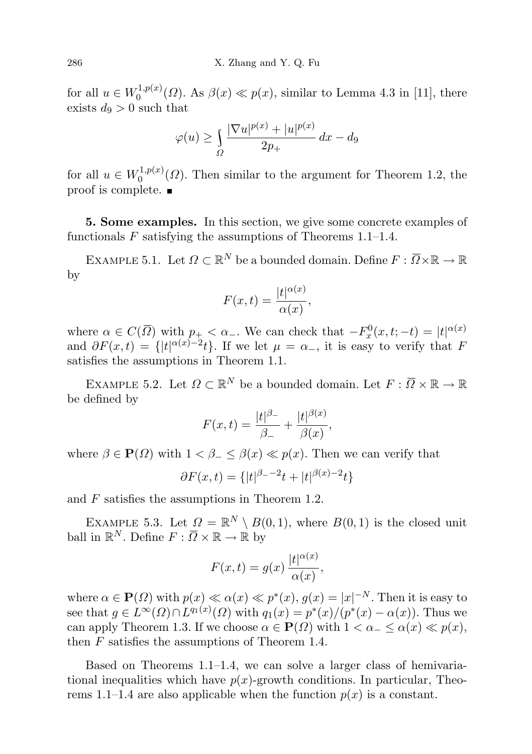for all  $u \in W_0^{1,p(x)}$  $0^{(1,p(x)}(0)$ . As  $\beta(x) \ll p(x)$ , similar to Lemma 4.3 in [11], there exists  $d_9 > 0$  such that

$$
\varphi(u) \ge \int_{\Omega} \frac{|\nabla u|^{p(x)} + |u|^{p(x)}}{2p_+} dx - d_9
$$

for all  $u \in W_0^{1,p(x)}$  $0^{(1,p(x))}$  ( $\Omega$ ). Then similar to the argument for Theorem 1.2, the proof is complete.

5. Some examples. In this section, we give some concrete examples of functionals  $F$  satisfying the assumptions of Theorems 1.1–1.4.

EXAMPLE 5.1. Let  $\Omega \subset \mathbb{R}^N$  be a bounded domain. Define  $F: \overline{\Omega} \times \mathbb{R} \to \mathbb{R}$ by

$$
F(x,t) = \frac{|t|^{\alpha(x)}}{\alpha(x)},
$$

where  $\alpha \in C(\overline{\Omega})$  with  $p_+ < \alpha_-$ . We can check that  $-F_x^0(x,t;-t) = |t|^{\alpha(x)}$ and  $\partial F(x,t) = \{|t|^{\alpha(x)-2}t\}$ . If we let  $\mu = \alpha_{-}$ , it is easy to verify that F satisfies the assumptions in Theorem 1.1.

EXAMPLE 5.2. Let  $\Omega \subset \mathbb{R}^N$  be a bounded domain. Let  $F: \overline{\Omega} \times \mathbb{R} \to \mathbb{R}$ be defined by

$$
F(x,t) = \frac{|t|^{\beta_-}}{\beta_-} + \frac{|t|^{\beta(x)}}{\beta(x)},
$$

where  $\beta \in \mathbf{P}(\Omega)$  with  $1 < \beta \leq \beta(x) \ll p(x)$ . Then we can verify that

$$
\partial F(x,t) = \{|t|^{\beta_- - 2}t + |t|^{\beta(x) - 2}t\}
$$

and F satisfies the assumptions in Theorem 1.2.

EXAMPLE 5.3. Let  $\Omega = \mathbb{R}^N \setminus B(0, 1)$ , where  $B(0, 1)$  is the closed unit ball in  $\mathbb{R}^N$ . Define  $F: \overline{\Omega} \times \mathbb{R} \to \mathbb{R}$  by

$$
F(x,t) = g(x) \frac{|t|^{\alpha(x)}}{\alpha(x)},
$$

where  $\alpha \in \mathbf{P}(\Omega)$  with  $p(x) \ll \alpha(x) \ll p^*(x)$ ,  $g(x) = |x|^{-N}$ . Then it is easy to see that  $g \in L^{\infty}(\Omega) \cap L^{q_1(x)}(\Omega)$  with  $q_1(x) = p^*(x)/(p^*(x) - \alpha(x))$ . Thus we can apply Theorem 1.3. If we choose  $\alpha \in \mathbf{P}(\Omega)$  with  $1 < \alpha \leq \alpha(x) \ll p(x)$ , then  $F$  satisfies the assumptions of Theorem 1.4.

Based on Theorems 1.1–1.4, we can solve a larger class of hemivariational inequalities which have  $p(x)$ -growth conditions. In particular, Theorems 1.1–1.4 are also applicable when the function  $p(x)$  is a constant.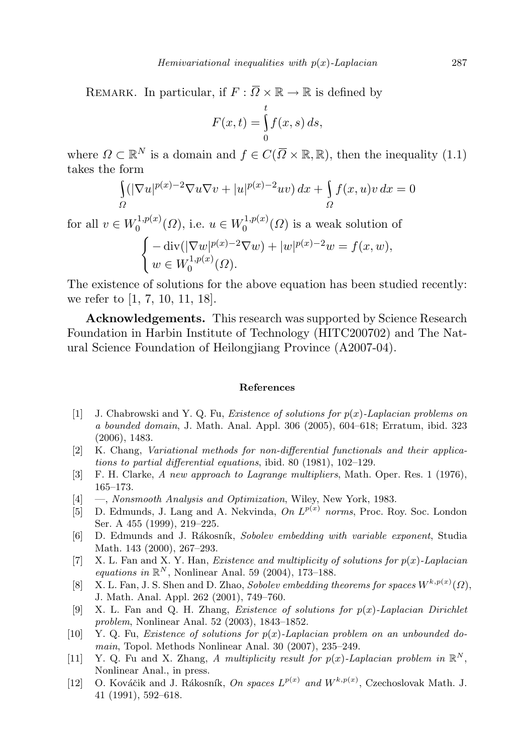REMARK. In particular, if  $F : \overline{\Omega} \times \mathbb{R} \to \mathbb{R}$  is defined by

$$
F(x,t) = \int_{0}^{t} f(x,s) \, ds,
$$

where  $\Omega \subset \mathbb{R}^N$  is a domain and  $f \in C(\overline{\Omega} \times \mathbb{R}, \mathbb{R})$ , then the inequality (1.1) takes the form

$$
\int_{\Omega} (|\nabla u|^{p(x)-2} \nabla u \nabla v + |u|^{p(x)-2} uv) dx + \int_{\Omega} f(x, u)v dx = 0
$$

for all  $v \in W_0^{1,p(x)}$  $U_0^{1,p(x)}(\Omega)$ , i.e.  $u \in W_0^{1,p(x)}$  $\binom{1,p(x)}{0}$  is a weak solution of

$$
\begin{cases}\n-\operatorname{div}(|\nabla w|^{p(x)-2}\nabla w) + |w|^{p(x)-2}w = f(x, w), \\
w \in W_0^{1, p(x)}(\Omega).\n\end{cases}
$$

The existence of solutions for the above equation has been studied recently: we refer to [1, 7, 10, 11, 18].

Acknowledgements. This research was supported by Science Research Foundation in Harbin Institute of Technology (HITC200702) and The Natural Science Foundation of Heilongjiang Province (A2007-04).

## References

- [1] J. Chabrowski and Y. Q. Fu, *Existence of solutions for*  $p(x)$ *-Laplacian problems on* a bounded domain, J. Math. Anal. Appl. 306 (2005), 604–618; Erratum, ibid. 323 (2006), 1483.
- [2] K. Chang, Variational methods for non-differential functionals and their applications to partial differential equations, ibid. 80 (1981), 102–129.
- [3] F. H. Clarke, A new approach to Lagrange multipliers, Math. Oper. Res. 1 (1976), 165–173.
- [4] —, Nonsmooth Analysis and Optimization, Wiley, New York, 1983.
- [5] D. Edmunds, J. Lang and A. Nekvinda, On  $L^{p(x)}$  norms, Proc. Roy. Soc. London Ser. A 455 (1999), 219–225.
- [6] D. Edmunds and J. Rákosník, Sobolev embedding with variable exponent, Studia Math. 143 (2000), 267–293.
- [7] X. L. Fan and X. Y. Han, *Existence and multiplicity of solutions for*  $p(x)$ -Laplacian equations in  $\mathbb{R}^N$ , Nonlinear Anal. 59 (2004), 173-188.
- [8] X. L. Fan, J. S. Shen and D. Zhao, Sobolev embedding theorems for spaces  $W^{k,p(x)}(\Omega)$ , J. Math. Anal. Appl. 262 (2001), 749–760.
- [9] X. L. Fan and Q. H. Zhang, *Existence of solutions for*  $p(x)$ *-Laplacian Dirichlet* problem, Nonlinear Anal. 52 (2003), 1843–1852.
- $[10]$  Y. Q. Fu, *Existence of solutions for p(x)*-*Laplacian problem on an unbounded do*main, Topol. Methods Nonlinear Anal. 30 (2007), 235–249.
- [11] Y. Q. Fu and X. Zhang, A multiplicity result for  $p(x)$ -Laplacian problem in  $\mathbb{R}^N$ , Nonlinear Anal., in press.
- [12] O. Kováčik and J. Rákosník, On spaces  $L^{p(x)}$  and  $W^{k,p(x)}$ , Czechoslovak Math. J. 41 (1991), 592–618.